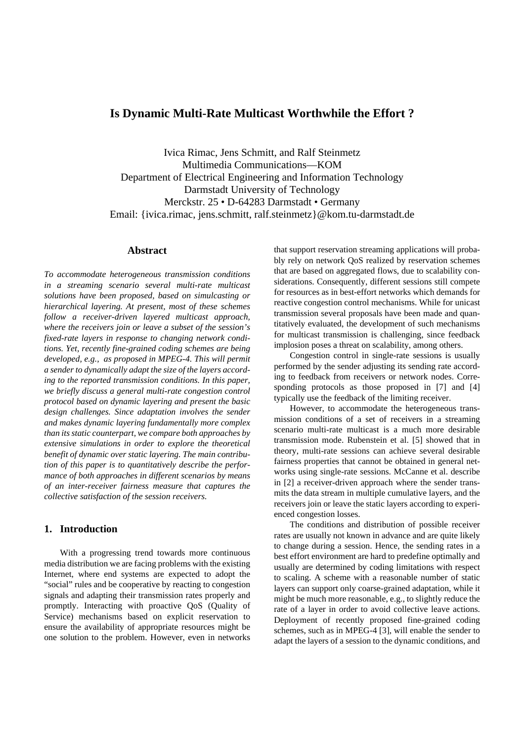# **Is Dynamic Multi-Rate Multicast Worthwhile the Effort ?**

Ivica Rimac, Jens Schmitt, and Ralf Steinmetz Multimedia Communications—KOM Department of Electrical Engineering and Information Technology Darmstadt University of Technology Merckstr. 25 • D-64283 Darmstadt • Germany Email: {ivica.rimac, jens.schmitt, ralf.steinmetz}@kom.tu-darmstadt.de

## **Abstract**

*To accommodate heterogeneous transmission conditions in a streaming scenario several multi-rate multicast solutions have been proposed, based on simulcasting or hierarchical layering. At present, most of these schemes follow a receiver-driven layered multicast approach, where the receivers join or leave a subset of the session's fixed-rate layers in response to changing network conditions. Yet, recently fine-grained coding schemes are being developed, e.g., as proposed in MPEG-4. This will permit a sender to dynamically adapt the size of the layers according to the reported transmission conditions. In this paper, we briefly discuss a general multi-rate congestion control protocol based on dynamic layering and present the basic design challenges. Since adaptation involves the sender and makes dynamic layering fundamentally more complex than its static counterpart, we compare both approaches by extensive simulations in order to explore the theoretical benefit of dynamic over static layering. The main contribution of this paper is to quantitatively describe the performance of both approaches in different scenarios by means of an inter-receiver fairness measure that captures the collective satisfaction of the session receivers.*

# **1. Introduction**

With a progressing trend towards more continuous media distribution we are facing problems with the existing Internet, where end systems are expected to adopt the "social" rules and be cooperative by reacting to congestion signals and adapting their transmission rates properly and promptly. Interacting with proactive QoS (Quality of Service) mechanisms based on explicit reservation to ensure the availability of appropriate resources might be one solution to the problem. However, even in networks that support reservation streaming applications will probably rely on network QoS realized by reservation schemes that are based on aggregated flows, due to scalability considerations. Consequently, different sessions still compete for resources as in best-effort networks which demands for reactive congestion control mechanisms. While for unicast transmission several proposals have been made and quantitatively evaluated, the development of such mechanisms for multicast transmission is challenging, since feedback implosion poses a threat on scalability, among others.

Congestion control in single-rate sessions is usually performed by the sender adjusting its sending rate according to feedback from receivers or network nodes. Corresponding protocols as those proposed in [7] and [4] typically use the feedback of the limiting receiver.

However, to accommodate the heterogeneous transmission conditions of a set of receivers in a streaming scenario multi-rate multicast is a much more desirable transmission mode. Rubenstein et al. [5] showed that in theory, multi-rate sessions can achieve several desirable fairness properties that cannot be obtained in general networks using single-rate sessions. McCanne et al. describe in [2] a receiver-driven approach where the sender transmits the data stream in multiple cumulative layers, and the receivers join or leave the static layers according to experienced congestion losses.

The conditions and distribution of possible receiver rates are usually not known in advance and are quite likely to change during a session. Hence, the sending rates in a best effort environment are hard to predefine optimally and usually are determined by coding limitations with respect to scaling. A scheme with a reasonable number of static layers can support only coarse-grained adaptation, while it might be much more reasonable, e.g., to slightly reduce the rate of a layer in order to avoid collective leave actions. Deployment of recently proposed fine-grained coding schemes, such as in MPEG-4 [3], will enable the sender to adapt the layers of a session to the dynamic conditions, and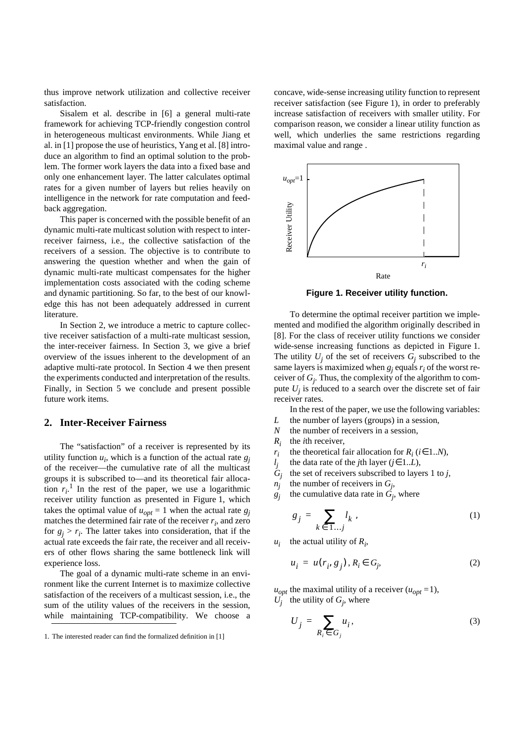thus improve network utilization and collective receiver satisfaction.

Sisalem et al. describe in [6] a general multi-rate framework for achieving TCP-friendly congestion control in heterogeneous multicast environments. While Jiang et al. in [1] propose the use of heuristics, Yang et al. [8] introduce an algorithm to find an optimal solution to the problem. The former work layers the data into a fixed base and only one enhancement layer. The latter calculates optimal rates for a given number of layers but relies heavily on intelligence in the network for rate computation and feedback aggregation.

This paper is concerned with the possible benefit of an dynamic multi-rate multicast solution with respect to interreceiver fairness, i.e., the collective satisfaction of the receivers of a session. The objective is to contribute to answering the question whether and when the gain of dynamic multi-rate multicast compensates for the higher implementation costs associated with the coding scheme and dynamic partitioning. So far, to the best of our knowledge this has not been adequately addressed in current literature.

In Section 2, we introduce a metric to capture collective receiver satisfaction of a multi-rate multicast session, the inter-receiver fairness. In [Section 3,](#page-2-0) we give a brief overview of the issues inherent to the development of an adaptive multi-rate protocol. In [Section 4](#page-3-0) we then present the experiments conducted and interpretation of the results. Finally, in [Section 5](#page-6-0) we conclude and present possible future work items.

### **2. Inter-Receiver Fairness**

The "satisfaction" of a receiver is represented by its utility function  $u_i$ , which is a function of the actual rate  $g_j$ of the receiver—the cumulative rate of all the multicast groups it is subscribed to—and its theoretical fair allocation  $r_i$ <sup>1</sup>. In the rest of the paper, we use a logarithmic receiver utility function as presented in Figure 1, which takes the optimal value of  $u_{opt} = 1$  when the actual rate  $g_j$ matches the determined fair rate of the receiver  $r_i$ , and zero for  $g_j > r_i$ . The latter takes into consideration, that if the actual rate exceeds the fair rate, the receiver and all receivers of other flows sharing the same bottleneck link will experience loss.

The goal of a dynamic multi-rate scheme in an environment like the current Internet is to maximize collective satisfaction of the receivers of a multicast session, i.e., the sum of the utility values of the receivers in the session, while maintaining TCP-compatibility. We choose a concave, wide-sense increasing utility function to represent receiver satisfaction (see Figure 1), in order to preferably increase satisfaction of receivers with smaller utility. For comparison reason, we consider a linear utility function as well, which underlies the same restrictions regarding maximal value and range .



**Figure 1. Receiver utility function.**

To determine the optimal receiver partition we implemented and modified the algorithm originally described in [8]. For the class of receiver utility functions we consider wide-sense increasing functions as depicted in Figure 1. The utility  $U_i$  of the set of receivers  $G_i$  subscribed to the same layers is maximized when  $g_i$  equals  $r_i$  of the worst receiver of *Gj* . Thus, the complexity of the algorithm to compute  $U_i$  is reduced to a search over the discrete set of fair receiver rates.

In the rest of the paper, we use the following variables:

- *L* the number of layers (groups) in a session,
- *N* the number of receivers in a session,
- *Ri* the *i*th receiver,
- *r<sub>i</sub>* the theoretical fair allocation for  $R_i$  (*i*∈1..*N*),
- 
- *l<sub>j</sub>* the data rate of the *j*th layer (*j*∈1..*L*),  $G_i$  the set of receivers subscribed to laye the set of receivers subscribed to layers 1 to  $j$ ,
- $n_j$  the number of receivers in  $G_j$ ,
- $g_j$  the cumulative data rate in  $G_j$ , where

$$
g_j = \sum_{k \in 1...j} l_k , \qquad (1)
$$

 $u_i$  the actual utility of  $R_i$ ,

$$
u_i = u(r_i, g_j), R_i \in G_j,
$$
\n<sup>(2)</sup>

 $u_{opt}$  the maximal utility of a receiver  $(u_{opt} = 1)$ ,  $U_j$  the utility of  $G_j$ , where

$$
U_j = \sum_{R_i \in G_j} u_i,\tag{3}
$$

<sup>1.</sup> The interested reader can find the formalized definition in [1]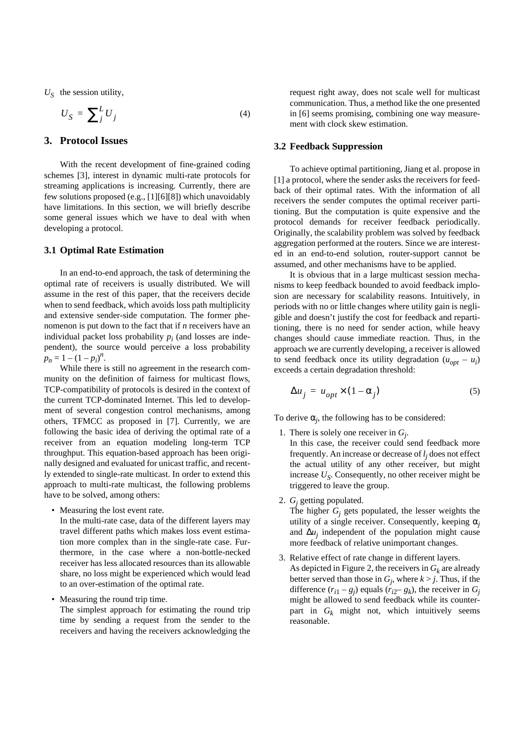<span id="page-2-0"></span> $U<sub>S</sub>$  the session utility,

$$
U_S = \sum_{j}^{L} U_j \tag{4}
$$

#### **3. Protocol Issues**

With the recent development of fine-grained coding schemes [3], interest in dynamic multi-rate protocols for streaming applications is increasing. Currently, there are few solutions proposed (e.g., [1][6][8]) which unavoidably have limitations. In this section, we will briefly describe some general issues which we have to deal with when developing a protocol.

#### **3.1 Optimal Rate Estimation**

In an end-to-end approach, the task of determining the optimal rate of receivers is usually distributed. We will assume in the rest of this paper, that the receivers decide when to send feedback, which avoids loss path multiplicity and extensive sender-side computation. The former phenomenon is put down to the fact that if *n* receivers have an individual packet loss probability  $p_i$  (and losses are independent), the source would perceive a loss probability  $p_n = 1 - (1 - p_i)^n$ .

While there is still no agreement in the research community on the definition of fairness for multicast flows, TCP-compatibility of protocols is desired in the context of the current TCP-dominated Internet. This led to development of several congestion control mechanisms, among others, TFMCC as proposed in [7]. Currently, we are following the basic idea of deriving the optimal rate of a receiver from an equation modeling long-term TCP throughput. This equation-based approach has been originally designed and evaluated for unicast traffic, and recently extended to single-rate multicast. In order to extend this approach to multi-rate multicast, the following problems have to be solved, among others:

• Measuring the lost event rate.

In the multi-rate case, data of the different layers may travel different paths which makes loss event estimation more complex than in the single-rate case. Furthermore, in the case where a non-bottle-necked receiver has less allocated resources than its allowable share, no loss might be experienced which would lead to an over-estimation of the optimal rate.

• Measuring the round trip time.

The simplest approach for estimating the round trip time by sending a request from the sender to the receivers and having the receivers acknowledging the

request right away, does not scale well for multicast communication. Thus, a method like the one presented in [6] seems promising, combining one way measurement with clock skew estimation.

#### **3.2 Feedback Suppression**

To achieve optimal partitioning, Jiang et al. propose in [1] a protocol, where the sender asks the receivers for feedback of their optimal rates. With the information of all receivers the sender computes the optimal receiver partitioning. But the computation is quite expensive and the protocol demands for receiver feedback periodically. Originally, the scalability problem was solved by feedback aggregation performed at the routers. Since we are interested in an end-to-end solution, router-support cannot be assumed, and other mechanisms have to be applied.

It is obvious that in a large multicast session mechanisms to keep feedback bounded to avoid feedback implosion are necessary for scalability reasons. Intuitively, in periods with no or little changes where utility gain is negligible and doesn't justify the cost for feedback and repartitioning, there is no need for sender action, while heavy changes should cause immediate reaction. Thus, in the approach we are currently developing, a receiver is allowed to send feedback once its utility degradation  $(u_{opt} - u_i)$ exceeds a certain degradation threshold:

$$
\Delta u_j = u_{opt} \times (1 - \alpha_j) \tag{5}
$$

To derive  $\alpha_j$ , the following has to be considered:

1. There is solely one receiver in *Gj* . In this case, the receiver could send feedback more

frequently. An increase or decrease of  $l_i$  does not effect the actual utility of any other receiver, but might increase  $U<sub>S</sub>$ . Consequently, no other receiver might be triggered to leave the group.

2. *Gj* getting populated.

The higher  $G_j$  gets populated, the lesser weights the utility of a single receiver. Consequently, keeping  $\alpha_i$ and ∆*uj* independent of the population might cause more feedback of relative unimportant changes.

3. Relative effect of rate change in different layers. As depicted in [Figure 2,](#page-3-0) the receivers in  $G_k$  are already better served than those in  $G_j$ , where  $k > j$ . Thus, if the difference  $(r_{i1} - g_j)$  equals  $(r_{i2} - g_k)$ , the receiver in  $G_j$ might be allowed to send feedback while its counterpart in  $G_k$  might not, which intuitively seems reasonable.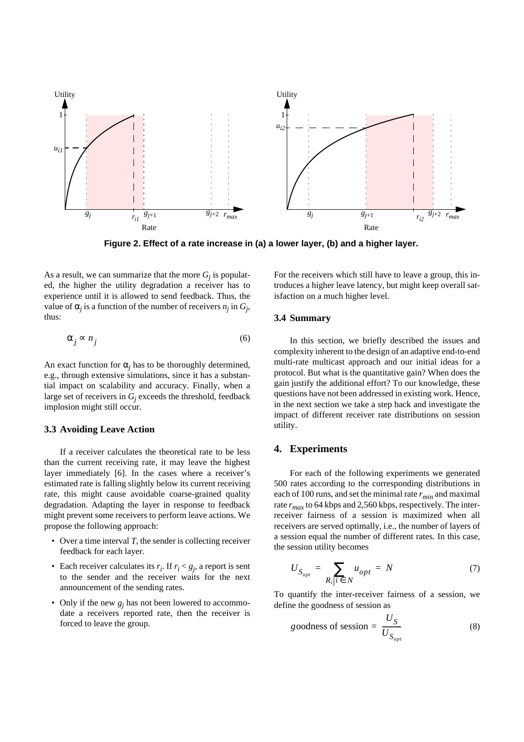<span id="page-3-0"></span>

**Figure 2. Effect of a rate increase in (a) a lower layer, (b) and a higher layer.**

As a result, we can summarize that the more  $G_i$  is populated, the higher the utility degradation a receiver has to experience until it is allowed to send feedback. Thus, the value of  $\alpha_j$  is a function of the number of receivers  $n_j$  in  $G_j$ , thus:

$$
\alpha_j \propto n_j \tag{6}
$$

An exact function for  $\alpha_j$  has to be thoroughly determined, e.g., through extensive simulations, since it has a substantial impact on scalability and accuracy. Finally, when a large set of receivers in  $G_i$  exceeds the threshold, feedback implosion might still occur.

#### **3.3 Avoiding Leave Action**

If a receiver calculates the theoretical rate to be less than the current receiving rate, it may leave the highest layer immediately [6]. In the cases where a receiver's estimated rate is falling slightly below its current receiving rate, this might cause avoidable coarse-grained quality degradation. Adapting the layer in response to feedback might prevent some receivers to perform leave actions. We propose the following approach:

- Over a time interval *T*, the sender is collecting receiver feedback for each layer.
- Each receiver calculates its  $r_i$ . If  $r_i < g_j$ , a report is sent to the sender and the receiver waits for the next announcement of the sending rates.
- Only if the new  $g_i$  has not been lowered to accommodate a receivers reported rate, then the receiver is forced to leave the group.

For the receivers which still have to leave a group, this introduces a higher leave latency, but might keep overall satisfaction on a much higher level.

### **3.4 Summary**

In this section, we briefly described the issues and complexity inherent to the design of an adaptive end-to-end multi-rate multicast approach and our initial ideas for a protocol. But what is the quantitative gain? When does the gain justify the additional effort? To our knowledge, these questions have not been addressed in existing work. Hence, in the next section we take a step back and investigate the impact of different receiver rate distributions on session utility.

## **4. Experiments**

For each of the following experiments we generated 500 rates according to the corresponding distributions in each of 100 runs, and set the minimal rate  $r_{min}$  and maximal rate *rmax* to 64 kbps and 2,560 kbps, respectively. The interreceiver fairness of a session is maximized when all receivers are served optimally, i.e., the number of layers of a session equal the number of different rates. In this case, the session utility becomes

$$
U_{S_{opt}} = \sum_{R_i|i \in N} u_{opt} = N \tag{7}
$$

To quantify the inter-receiver fairness of a session, we define the goodness of session as

$$
goodness of session = \frac{U_S}{U_{S_{opt}}} \tag{8}
$$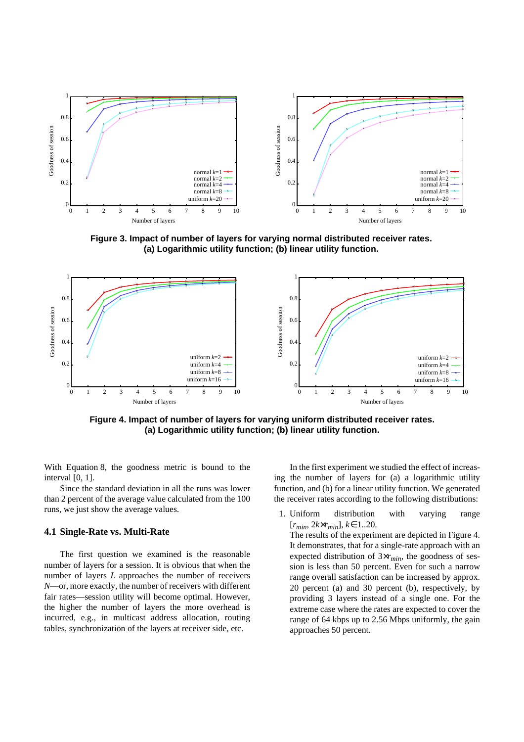<span id="page-4-0"></span>

**Figure 3. Impact of number of layers for varying normal distributed receiver rates. (a) Logarithmic utility function; (b) linear utility function.**



**Figure 4. Impact of number of layers for varying uniform distributed receiver rates. (a) Logarithmic utility function; (b) linear utility function.**

With [Equation 8,](#page-3-0) the goodness metric is bound to the interval [0, 1].

Since the standard deviation in all the runs was lower than 2 percent of the average value calculated from the 100 runs, we just show the average values.

### **4.1 Single-Rate vs. Multi-Rate**

The first question we examined is the reasonable number of layers for a session. It is obvious that when the number of layers *L* approaches the number of receivers *N*—or, more exactly, the number of receivers with different fair rates—session utility will become optimal. However, the higher the number of layers the more overhead is incurred, e.g., in multicast address allocation, routing tables, synchronization of the layers at receiver side, etc.

In the first experiment we studied the effect of increasing the number of layers for (a) a logarithmic utility function, and (b) for a linear utility function. We generated the receiver rates according to the following distributions:

1. Uniform distribution with varying range [*rmin*, 2*k*×*rmin*], *k*∈1..20.

The results of the experiment are depicted in Figure 4. It demonstrates, that for a single-rate approach with an expected distribution of  $3 \times r_{min}$ , the goodness of session is less than 50 percent. Even for such a narrow range overall satisfaction can be increased by approx. 20 percent (a) and 30 percent (b), respectively, by providing 3 layers instead of a single one. For the extreme case where the rates are expected to cover the range of 64 kbps up to 2.56 Mbps uniformly, the gain approaches 50 percent.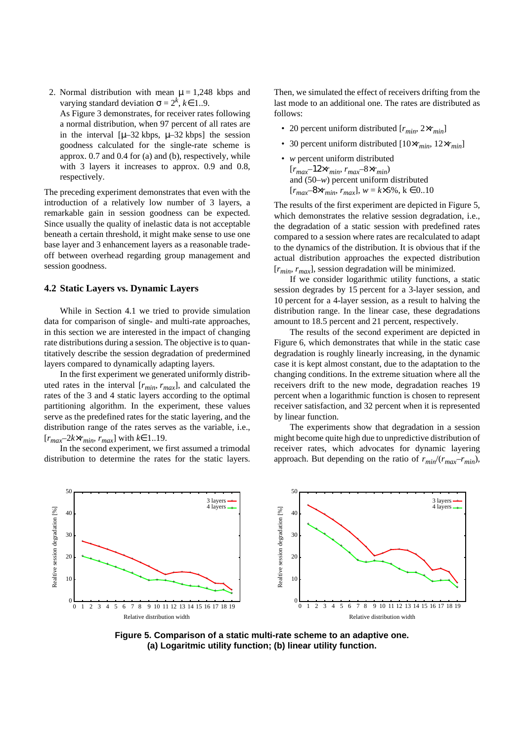2. Normal distribution with mean  $\mu = 1,248$  kbps and varying standard deviation  $\sigma = 2^k$ ,  $k \in 1..9$ . As [Figure 3](#page-4-0) demonstrates, for receiver rates following a normal distribution, when 97 percent of all rates are in the interval  $[\mu-32 \text{ kbps}, \mu-32 \text{ kbps}]$  the session goodness calculated for the single-rate scheme is approx. 0.7 and 0.4 for (a) and (b), respectively, while with 3 layers it increases to approx. 0.9 and 0.8, respectively.

The preceding experiment demonstrates that even with the introduction of a relatively low number of 3 layers, a remarkable gain in session goodness can be expected. Since usually the quality of inelastic data is not acceptable beneath a certain threshold, it might make sense to use one base layer and 3 enhancement layers as a reasonable tradeoff between overhead regarding group management and session goodness.

#### **4.2 Static Layers vs. Dynamic Layers**

While in [Section 4.1](#page-4-0) we tried to provide simulation data for comparison of single- and multi-rate approaches, in this section we are interested in the impact of changing rate distributions during a session. The objective is to quantitatively describe the session degradation of predermined layers compared to dynamically adapting layers.

In the first experiment we generated uniformly distributed rates in the interval  $[r_{min}, r_{max}]$ , and calculated the rates of the 3 and 4 static layers according to the optimal partitioning algorithm. In the experiment, these values serve as the predefined rates for the static layering, and the distribution range of the rates serves as the variable, i.e.,  $[r_{max}-2k\times r_{min}, r_{max}]$  with  $k \in 1..19$ .

In the second experiment, we first assumed a trimodal distribution to determine the rates for the static layers.

Then, we simulated the effect of receivers drifting from the last mode to an additional one. The rates are distributed as follows:

- 20 percent uniform distributed  $[r_{min}, 2 \times r_{min}]$
- 30 percent uniform distributed  $[10 \times r_{min}, 12 \times r_{min}]$
- *w* percent uniform distributed [*rmax*–12×*rmin*, *rmax*–8×*rmin*) and (50–*w*) percent uniform distributed  $[r_{max}-8\times r_{min}, r_{max}]$ ,  $w = k \times 5\%$ ,  $k \in 0..10$

The results of the first experiment are depicted in Figure 5, which demonstrates the relative session degradation, i.e., the degradation of a static session with predefined rates compared to a session where rates are recalculated to adapt to the dynamics of the distribution. It is obvious that if the actual distribution approaches the expected distribution [*rmin*, *rmax*], session degradation will be minimized.

If we consider logarithmic utility functions, a static session degrades by 15 percent for a 3-layer session, and 10 percent for a 4-layer session, as a result to halving the distribution range. In the linear case, these degradations amount to 18.5 percent and 21 percent, respectively.

The results of the second experiment are depicted in [Figure 6,](#page-6-0) which demonstrates that while in the static case degradation is roughly linearly increasing, in the dynamic case it is kept almost constant, due to the adaptation to the changing conditions. In the extreme situation where all the receivers drift to the new mode, degradation reaches 19 percent when a logarithmic function is chosen to represent receiver satisfaction, and 32 percent when it is represented by linear function.

The experiments show that degradation in a session might become quite high due to unpredictive distribution of receiver rates, which advocates for dynamic layering approach. But depending on the ratio of  $r_{min}/(r_{max}-r_{min})$ ,



**Figure 5. Comparison of a static multi-rate scheme to an adaptive one. (a) Logaritmic utility function; (b) linear utility function.**